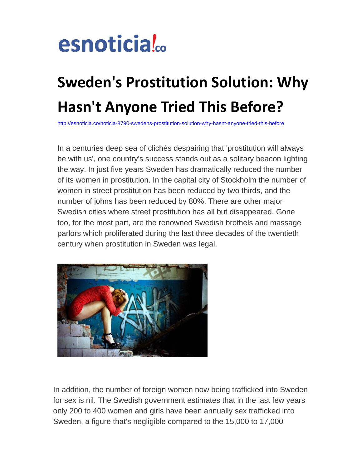

## **Sweden's Prostitution Solution: Why Hasn't Anyone Tried This Before?**

<http://esnoticia.co/noticia-8790-swedens-prostitution-solution-why-hasnt-anyone-tried-this-before>

In a centuries deep sea of clichés despairing that 'prostitution will always be with us', one country's success stands out as a solitary beacon lighting the way. In just five years Sweden has dramatically reduced the number of its women in prostitution. In the capital city of Stockholm the number of women in street prostitution has been reduced by two thirds, and the number of johns has been reduced by 80%. There are other major Swedish cities where street prostitution has all but disappeared. Gone too, for the most part, are the renowned Swedish brothels and massage parlors which proliferated during the last three decades of the twentieth century when prostitution in Sweden was legal.



In addition, the number of foreign women now being trafficked into Sweden for sex is nil. The Swedish government estimates that in the last few years only 200 to 400 women and girls have been annually sex trafficked into Sweden, a figure that's negligible compared to the 15,000 to 17,000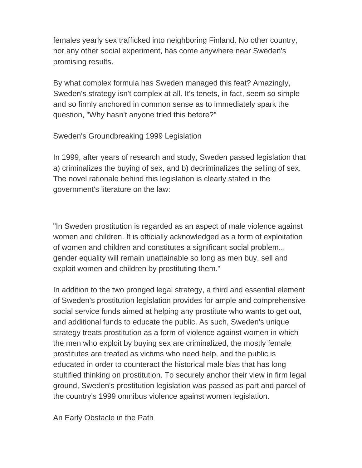females yearly sex trafficked into neighboring Finland. No other country, nor any other social experiment, has come anywhere near Sweden's promising results.

By what complex formula has Sweden managed this feat? Amazingly, Sweden's strategy isn't complex at all. It's tenets, in fact, seem so simple and so firmly anchored in common sense as to immediately spark the question, "Why hasn't anyone tried this before?"

Sweden's Groundbreaking 1999 Legislation

In 1999, after years of research and study, Sweden passed legislation that a) criminalizes the buying of sex, and b) decriminalizes the selling of sex. The novel rationale behind this legislation is clearly stated in the government's literature on the law:

"In Sweden prostitution is regarded as an aspect of male violence against women and children. It is officially acknowledged as a form of exploitation of women and children and constitutes a significant social problem... gender equality will remain unattainable so long as men buy, sell and exploit women and children by prostituting them."

In addition to the two pronged legal strategy, a third and essential element of Sweden's prostitution legislation provides for ample and comprehensive social service funds aimed at helping any prostitute who wants to get out, and additional funds to educate the public. As such, Sweden's unique strategy treats prostitution as a form of violence against women in which the men who exploit by buying sex are criminalized, the mostly female prostitutes are treated as victims who need help, and the public is educated in order to counteract the historical male bias that has long stultified thinking on prostitution. To securely anchor their view in firm legal ground, Sweden's prostitution legislation was passed as part and parcel of the country's 1999 omnibus violence against women legislation.

An Early Obstacle in the Path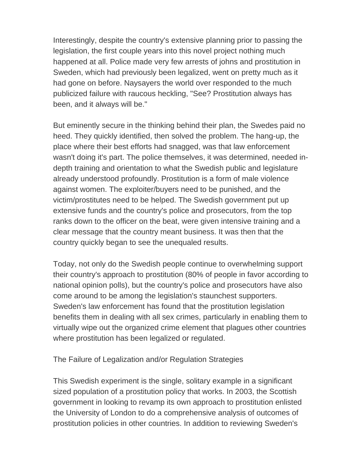Interestingly, despite the country's extensive planning prior to passing the legislation, the first couple years into this novel project nothing much happened at all. Police made very few arrests of johns and prostitution in Sweden, which had previously been legalized, went on pretty much as it had gone on before. Naysayers the world over responded to the much publicized failure with raucous heckling, "See? Prostitution always has been, and it always will be."

But eminently secure in the thinking behind their plan, the Swedes paid no heed. They quickly identified, then solved the problem. The hang-up, the place where their best efforts had snagged, was that law enforcement wasn't doing it's part. The police themselves, it was determined, needed indepth training and orientation to what the Swedish public and legislature already understood profoundly. Prostitution is a form of male violence against women. The exploiter/buyers need to be punished, and the victim/prostitutes need to be helped. The Swedish government put up extensive funds and the country's police and prosecutors, from the top ranks down to the officer on the beat, were given intensive training and a clear message that the country meant business. It was then that the country quickly began to see the unequaled results.

Today, not only do the Swedish people continue to overwhelming support their country's approach to prostitution (80% of people in favor according to national opinion polls), but the country's police and prosecutors have also come around to be among the legislation's staunchest supporters. Sweden's law enforcement has found that the prostitution legislation benefits them in dealing with all sex crimes, particularly in enabling them to virtually wipe out the organized crime element that plagues other countries where prostitution has been legalized or regulated.

The Failure of Legalization and/or Regulation Strategies

This Swedish experiment is the single, solitary example in a significant sized population of a prostitution policy that works. In 2003, the Scottish government in looking to revamp its own approach to prostitution enlisted the University of London to do a comprehensive analysis of outcomes of prostitution policies in other countries. In addition to reviewing Sweden's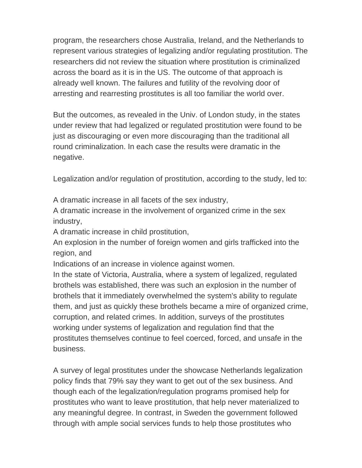program, the researchers chose Australia, Ireland, and the Netherlands to represent various strategies of legalizing and/or regulating prostitution. The researchers did not review the situation where prostitution is criminalized across the board as it is in the US. The outcome of that approach is already well known. The failures and futility of the revolving door of arresting and rearresting prostitutes is all too familiar the world over.

But the outcomes, as revealed in the Univ. of London study, in the states under review that had legalized or regulated prostitution were found to be just as discouraging or even more discouraging than the traditional all round criminalization. In each case the results were dramatic in the negative.

Legalization and/or regulation of prostitution, according to the study, led to:

A dramatic increase in all facets of the sex industry,

A dramatic increase in the involvement of organized crime in the sex industry,

A dramatic increase in child prostitution,

An explosion in the number of foreign women and girls trafficked into the region, and

Indications of an increase in violence against women.

In the state of Victoria, Australia, where a system of legalized, regulated brothels was established, there was such an explosion in the number of brothels that it immediately overwhelmed the system's ability to regulate them, and just as quickly these brothels became a mire of organized crime, corruption, and related crimes. In addition, surveys of the prostitutes working under systems of legalization and regulation find that the prostitutes themselves continue to feel coerced, forced, and unsafe in the business.

A survey of legal prostitutes under the showcase Netherlands legalization policy finds that 79% say they want to get out of the sex business. And though each of the legalization/regulation programs promised help for prostitutes who want to leave prostitution, that help never materialized to any meaningful degree. In contrast, in Sweden the government followed through with ample social services funds to help those prostitutes who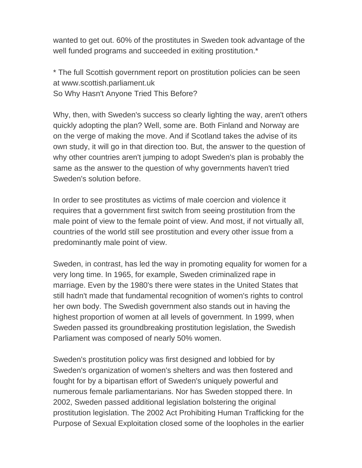wanted to get out. 60% of the prostitutes in Sweden took advantage of the well funded programs and succeeded in exiting prostitution.<sup>\*</sup>

\* The full Scottish government report on prostitution policies can be seen at www.scottish.parliament.uk So Why Hasn't Anyone Tried This Before?

Why, then, with Sweden's success so clearly lighting the way, aren't others quickly adopting the plan? Well, some are. Both Finland and Norway are on the verge of making the move. And if Scotland takes the advise of its own study, it will go in that direction too. But, the answer to the question of why other countries aren't jumping to adopt Sweden's plan is probably the same as the answer to the question of why governments haven't tried Sweden's solution before.

In order to see prostitutes as victims of male coercion and violence it requires that a government first switch from seeing prostitution from the male point of view to the female point of view. And most, if not virtually all, countries of the world still see prostitution and every other issue from a predominantly male point of view.

Sweden, in contrast, has led the way in promoting equality for women for a very long time. In 1965, for example, Sweden criminalized rape in marriage. Even by the 1980's there were states in the United States that still hadn't made that fundamental recognition of women's rights to control her own body. The Swedish government also stands out in having the highest proportion of women at all levels of government. In 1999, when Sweden passed its groundbreaking prostitution legislation, the Swedish Parliament was composed of nearly 50% women.

Sweden's prostitution policy was first designed and lobbied for by Sweden's organization of women's shelters and was then fostered and fought for by a bipartisan effort of Sweden's uniquely powerful and numerous female parliamentarians. Nor has Sweden stopped there. In 2002, Sweden passed additional legislation bolstering the original prostitution legislation. The 2002 Act Prohibiting Human Trafficking for the Purpose of Sexual Exploitation closed some of the loopholes in the earlier